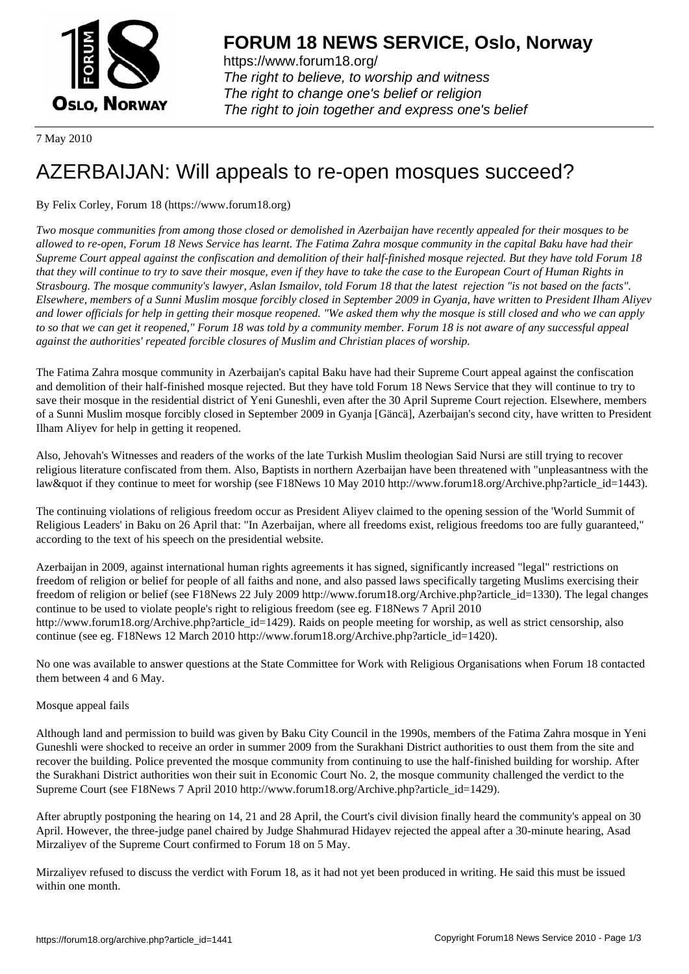

https://www.forum18.org/ The right to believe, to worship and witness The right to change one's belief or religion [The right to join together a](https://www.forum18.org/)nd express one's belief

7 May 2010

## [AZERBAIJAN: W](https://www.forum18.org)ill appeals to re-open mosques succeed?

## By Felix Corley, Forum 18 (https://www.forum18.org)

*Two mosque communities from among those closed or demolished in Azerbaijan have recently appealed for their mosques to be allowed to re-open, Forum 18 News Service has learnt. The Fatima Zahra mosque community in the capital Baku have had their Supreme Court appeal against the confiscation and demolition of their half-finished mosque rejected. But they have told Forum 18 that they will continue to try to save their mosque, even if they have to take the case to the European Court of Human Rights in Strasbourg. The mosque community's lawyer, Aslan Ismailov, told Forum 18 that the latest rejection "is not based on the facts". Elsewhere, members of a Sunni Muslim mosque forcibly closed in September 2009 in Gyanja, have written to President Ilham Aliyev and lower officials for help in getting their mosque reopened. "We asked them why the mosque is still closed and who we can apply to so that we can get it reopened," Forum 18 was told by a community member. Forum 18 is not aware of any successful appeal against the authorities' repeated forcible closures of Muslim and Christian places of worship.*

The Fatima Zahra mosque community in Azerbaijan's capital Baku have had their Supreme Court appeal against the confiscation and demolition of their half-finished mosque rejected. But they have told Forum 18 News Service that they will continue to try to save their mosque in the residential district of Yeni Guneshli, even after the 30 April Supreme Court rejection. Elsewhere, members of a Sunni Muslim mosque forcibly closed in September 2009 in Gyanja [Gäncä], Azerbaijan's second city, have written to President Ilham Aliyev for help in getting it reopened.

Also, Jehovah's Witnesses and readers of the works of the late Turkish Muslim theologian Said Nursi are still trying to recover religious literature confiscated from them. Also, Baptists in northern Azerbaijan have been threatened with "unpleasantness with the law & quot if they continue to meet for worship (see F18News 10 May 2010 http://www.forum18.org/Archive.php?article\_id=1443).

The continuing violations of religious freedom occur as President Aliyev claimed to the opening session of the 'World Summit of Religious Leaders' in Baku on 26 April that: "In Azerbaijan, where all freedoms exist, religious freedoms too are fully guaranteed," according to the text of his speech on the presidential website.

Azerbaijan in 2009, against international human rights agreements it has signed, significantly increased "legal" restrictions on freedom of religion or belief for people of all faiths and none, and also passed laws specifically targeting Muslims exercising their freedom of religion or belief (see F18News 22 July 2009 http://www.forum18.org/Archive.php?article\_id=1330). The legal changes continue to be used to violate people's right to religious freedom (see eg. F18News 7 April 2010 http://www.forum18.org/Archive.php?article\_id=1429). Raids on people meeting for worship, as well as strict censorship, also continue (see eg. F18News 12 March 2010 http://www.forum18.org/Archive.php?article\_id=1420).

No one was available to answer questions at the State Committee for Work with Religious Organisations when Forum 18 contacted them between 4 and 6 May.

## Mosque appeal fails

Although land and permission to build was given by Baku City Council in the 1990s, members of the Fatima Zahra mosque in Yeni Guneshli were shocked to receive an order in summer 2009 from the Surakhani District authorities to oust them from the site and recover the building. Police prevented the mosque community from continuing to use the half-finished building for worship. After the Surakhani District authorities won their suit in Economic Court No. 2, the mosque community challenged the verdict to the Supreme Court (see F18News 7 April 2010 http://www.forum18.org/Archive.php?article\_id=1429).

After abruptly postponing the hearing on 14, 21 and 28 April, the Court's civil division finally heard the community's appeal on 30 April. However, the three-judge panel chaired by Judge Shahmurad Hidayev rejected the appeal after a 30-minute hearing, Asad Mirzaliyev of the Supreme Court confirmed to Forum 18 on 5 May.

Mirzaliyev refused to discuss the verdict with Forum 18, as it had not yet been produced in writing. He said this must be issued within one month.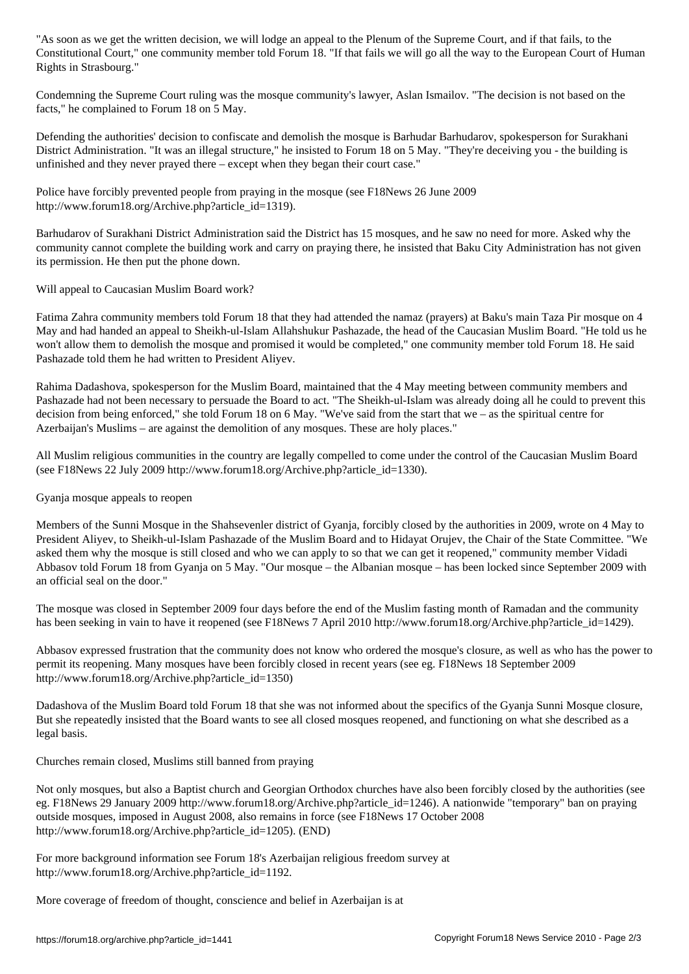Constitutional Court," one community member told Forum 18. "If that fails we will go all the way to the European Court of Human Rights in Strasbourg."

Condemning the Supreme Court ruling was the mosque community's lawyer, Aslan Ismailov. "The decision is not based on the facts," he complained to Forum 18 on 5 May.

Defending the authorities' decision to confiscate and demolish the mosque is Barhudar Barhudarov, spokesperson for Surakhani District Administration. "It was an illegal structure," he insisted to Forum 18 on 5 May. "They're deceiving you - the building is unfinished and they never prayed there – except when they began their court case."

Police have forcibly prevented people from praying in the mosque (see F18News 26 June 2009 http://www.forum18.org/Archive.php?article\_id=1319).

Barhudarov of Surakhani District Administration said the District has 15 mosques, and he saw no need for more. Asked why the community cannot complete the building work and carry on praying there, he insisted that Baku City Administration has not given its permission. He then put the phone down.

Will appeal to Caucasian Muslim Board work?

Fatima Zahra community members told Forum 18 that they had attended the namaz (prayers) at Baku's main Taza Pir mosque on 4 May and had handed an appeal to Sheikh-ul-Islam Allahshukur Pashazade, the head of the Caucasian Muslim Board. "He told us he won't allow them to demolish the mosque and promised it would be completed," one community member told Forum 18. He said Pashazade told them he had written to President Aliyev.

Rahima Dadashova, spokesperson for the Muslim Board, maintained that the 4 May meeting between community members and Pashazade had not been necessary to persuade the Board to act. "The Sheikh-ul-Islam was already doing all he could to prevent this decision from being enforced," she told Forum 18 on 6 May. "We've said from the start that we – as the spiritual centre for Azerbaijan's Muslims – are against the demolition of any mosques. These are holy places."

All Muslim religious communities in the country are legally compelled to come under the control of the Caucasian Muslim Board (see F18News 22 July 2009 http://www.forum18.org/Archive.php?article\_id=1330).

Gyanja mosque appeals to reopen

Members of the Sunni Mosque in the Shahsevenler district of Gyanja, forcibly closed by the authorities in 2009, wrote on 4 May to President Aliyev, to Sheikh-ul-Islam Pashazade of the Muslim Board and to Hidayat Orujev, the Chair of the State Committee. "We asked them why the mosque is still closed and who we can apply to so that we can get it reopened," community member Vidadi Abbasov told Forum 18 from Gyanja on 5 May. "Our mosque – the Albanian mosque – has been locked since September 2009 with an official seal on the door."

The mosque was closed in September 2009 four days before the end of the Muslim fasting month of Ramadan and the community has been seeking in vain to have it reopened (see F18News 7 April 2010 http://www.forum18.org/Archive.php?article\_id=1429).

Abbasov expressed frustration that the community does not know who ordered the mosque's closure, as well as who has the power to permit its reopening. Many mosques have been forcibly closed in recent years (see eg. F18News 18 September 2009 http://www.forum18.org/Archive.php?article\_id=1350)

Dadashova of the Muslim Board told Forum 18 that she was not informed about the specifics of the Gyanja Sunni Mosque closure, But she repeatedly insisted that the Board wants to see all closed mosques reopened, and functioning on what she described as a legal basis.

Churches remain closed, Muslims still banned from praying

Not only mosques, but also a Baptist church and Georgian Orthodox churches have also been forcibly closed by the authorities (see eg. F18News 29 January 2009 http://www.forum18.org/Archive.php?article\_id=1246). A nationwide "temporary" ban on praying outside mosques, imposed in August 2008, also remains in force (see F18News 17 October 2008 http://www.forum18.org/Archive.php?article\_id=1205). (END)

For more background information see Forum 18's Azerbaijan religious freedom survey at http://www.forum18.org/Archive.php?article\_id=1192.

More coverage of freedom of thought, conscience and belief in Azerbaijan is at